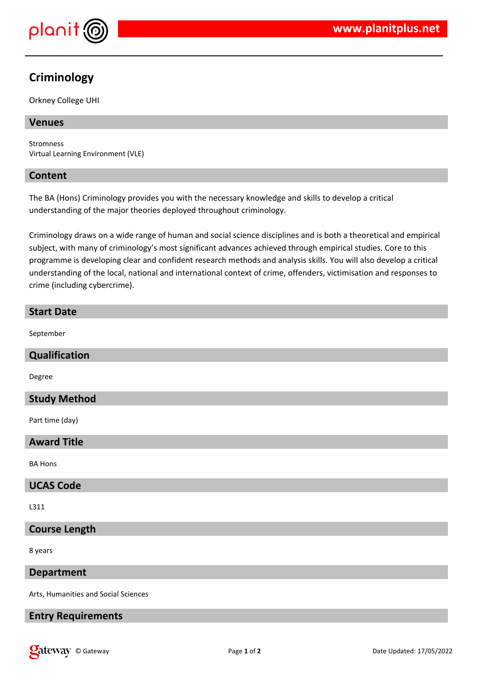

# **Criminology**

Orkney College UHI

# **Venues**

Stromness Virtual Learning Environment (VLE)

# **Content**

The BA (Hons) Criminology provides you with the necessary knowledge and skills to develop a critical understanding of the major theories deployed throughout criminology.

Criminology draws on a wide range of human and social science disciplines and is both a theoretical and empirical subject, with many of criminology's most significant advances achieved through empirical studies. Core to this programme is developing clear and confident research methods and analysis skills. You will also develop a critical understanding of the local, national and international context of crime, offenders, victimisation and responses to crime (including cybercrime).

# **Start Date** September **Qualification** Degree **Study Method** Part time (day) **Award Title**

BA Hons

# **UCAS Code**

L311

# **Course Length**

8 years

#### **Department**

Arts, Humanities and Social Sciences

# **Entry Requirements**